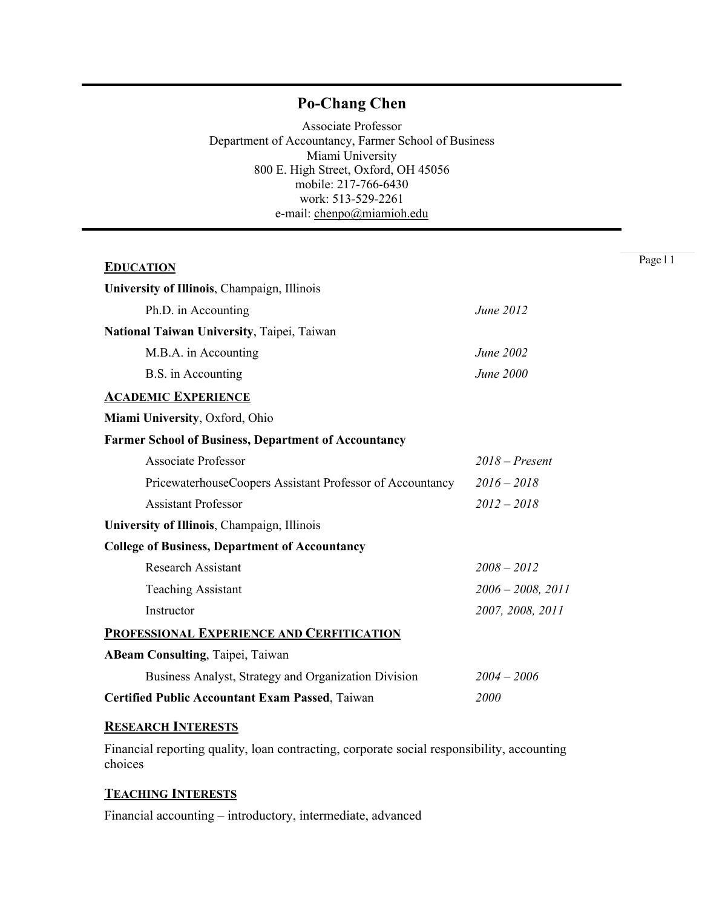# **Po-Chang Chen**

Associate Professor Department of Accountancy, Farmer School of Business Miami University 800 E. High Street, Oxford, OH 45056 mobile: 217-766-6430 work: 513-529-2261 e-mail: chenpo@miamioh.edu

| <b>EDUCATION</b>                                            | Page   1               |  |
|-------------------------------------------------------------|------------------------|--|
| University of Illinois, Champaign, Illinois                 |                        |  |
| Ph.D. in Accounting                                         | June 2012              |  |
| National Taiwan University, Taipei, Taiwan                  |                        |  |
| M.B.A. in Accounting                                        | June 2002              |  |
| B.S. in Accounting                                          | June 2000              |  |
| <b>ACADEMIC EXPERIENCE</b>                                  |                        |  |
| Miami University, Oxford, Ohio                              |                        |  |
| <b>Farmer School of Business, Department of Accountancy</b> |                        |  |
| <b>Associate Professor</b>                                  | $2018$ – Present       |  |
| PricewaterhouseCoopers Assistant Professor of Accountancy   | $2016 - 2018$          |  |
| <b>Assistant Professor</b>                                  | $2012 - 2018$          |  |
| University of Illinois, Champaign, Illinois                 |                        |  |
| <b>College of Business, Department of Accountancy</b>       |                        |  |
| <b>Research Assistant</b>                                   | $2008 - 2012$          |  |
| <b>Teaching Assistant</b>                                   | $2006 - 2008$ , $2011$ |  |
| Instructor                                                  | 2007, 2008, 2011       |  |
| PROFESSIONAL EXPERIENCE AND CERFITICATION                   |                        |  |
| <b>ABeam Consulting, Taipei, Taiwan</b>                     |                        |  |
| Business Analyst, Strategy and Organization Division        | $2004 - 2006$          |  |
| <b>Certified Public Accountant Exam Passed, Taiwan</b>      | 2000                   |  |

# **RESEARCH INTERESTS**

Financial reporting quality, loan contracting, corporate social responsibility, accounting choices

### **TEACHING INTERESTS**

Financial accounting – introductory, intermediate, advanced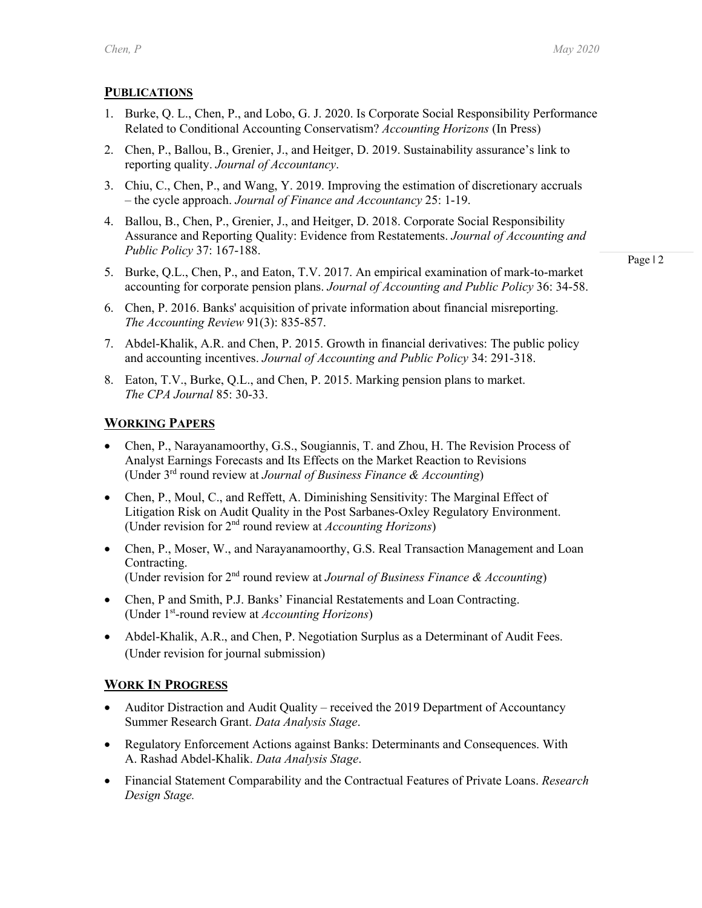## **PUBLICATIONS**

- 1. Burke, Q. L., Chen, P., and Lobo, G. J. 2020. Is Corporate Social Responsibility Performance Related to Conditional Accounting Conservatism? *Accounting Horizons* (In Press)
- 2. Chen, P., Ballou, B., Grenier, J., and Heitger, D. 2019. Sustainability assurance's link to reporting quality. *Journal of Accountancy*.
- 3. Chiu, C., Chen, P., and Wang, Y. 2019. Improving the estimation of discretionary accruals – the cycle approach. *Journal of Finance and Accountancy* 25: 1-19.
- 4. Ballou, B., Chen, P., Grenier, J., and Heitger, D. 2018. Corporate Social Responsibility Assurance and Reporting Quality: Evidence from Restatements. *Journal of Accounting and Public Policy* 37: 167-188.
- 5. Burke, Q.L., Chen, P., and Eaton, T.V. 2017. An empirical examination of mark-to-market accounting for corporate pension plans. *Journal of Accounting and Public Policy* 36: 34-58.
- 6. Chen, P. 2016. Banks' acquisition of private information about financial misreporting. *The Accounting Review* 91(3): 835-857.
- 7. Abdel-Khalik, A.R. and Chen, P. 2015. Growth in financial derivatives: The public policy and accounting incentives. *Journal of Accounting and Public Policy* 34: 291-318.
- 8. Eaton, T.V., Burke, Q.L., and Chen, P. 2015. Marking pension plans to market. *The CPA Journal* 85: 30-33.

#### **WORKING PAPERS**

- Chen, P., Narayanamoorthy, G.S., Sougiannis, T. and Zhou, H. The Revision Process of Analyst Earnings Forecasts and Its Effects on the Market Reaction to Revisions (Under 3rd round review at *Journal of Business Finance & Accounting*)
- Chen, P., Moul, C., and Reffett, A. Diminishing Sensitivity: The Marginal Effect of Litigation Risk on Audit Quality in the Post Sarbanes-Oxley Regulatory Environment. (Under revision for 2nd round review at *Accounting Horizons*)
- Chen, P., Moser, W., and Narayanamoorthy, G.S. Real Transaction Management and Loan Contracting. (Under revision for 2nd round review at *Journal of Business Finance & Accounting*)
- Chen, P and Smith, P.J. Banks' Financial Restatements and Loan Contracting. (Under 1st-round review at *Accounting Horizons*)
- Abdel-Khalik, A.R., and Chen, P. Negotiation Surplus as a Determinant of Audit Fees. (Under revision for journal submission)

# **WORK IN PROGRESS**

- Auditor Distraction and Audit Quality received the 2019 Department of Accountancy Summer Research Grant. *Data Analysis Stage*.
- Regulatory Enforcement Actions against Banks: Determinants and Consequences. With A. Rashad Abdel-Khalik. *Data Analysis Stage*.
- Financial Statement Comparability and the Contractual Features of Private Loans. *Research Design Stage.*

Page | 2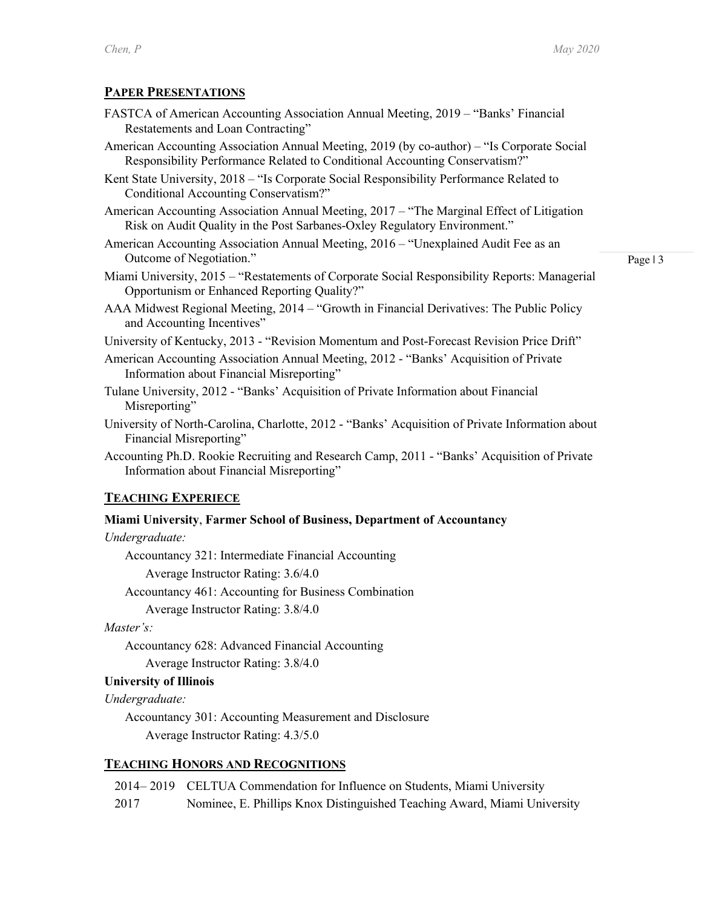### **PAPER PRESENTATIONS**

- FASTCA of American Accounting Association Annual Meeting, 2019 "Banks' Financial Restatements and Loan Contracting"
- American Accounting Association Annual Meeting, 2019 (by co-author) "Is Corporate Social Responsibility Performance Related to Conditional Accounting Conservatism?"

Kent State University, 2018 – "Is Corporate Social Responsibility Performance Related to Conditional Accounting Conservatism?"

- American Accounting Association Annual Meeting, 2017 "The Marginal Effect of Litigation Risk on Audit Quality in the Post Sarbanes-Oxley Regulatory Environment."
- American Accounting Association Annual Meeting, 2016 "Unexplained Audit Fee as an Outcome of Negotiation."
- Miami University, 2015 "Restatements of Corporate Social Responsibility Reports: Managerial Opportunism or Enhanced Reporting Quality?"

Page | 3

- AAA Midwest Regional Meeting, 2014 "Growth in Financial Derivatives: The Public Policy and Accounting Incentives"
- University of Kentucky, 2013 "Revision Momentum and Post-Forecast Revision Price Drift"
- American Accounting Association Annual Meeting, 2012 "Banks' Acquisition of Private Information about Financial Misreporting"
- Tulane University, 2012 "Banks' Acquisition of Private Information about Financial Misreporting"
- University of North-Carolina, Charlotte, 2012 "Banks' Acquisition of Private Information about Financial Misreporting"
- Accounting Ph.D. Rookie Recruiting and Research Camp, 2011 "Banks' Acquisition of Private Information about Financial Misreporting"

## **TEACHING EXPERIECE**

#### **Miami University**, **Farmer School of Business, Department of Accountancy**

*Undergraduate:*

Accountancy 321: Intermediate Financial Accounting

Average Instructor Rating: 3.6/4.0

Accountancy 461: Accounting for Business Combination

Average Instructor Rating: 3.8/4.0

#### *Master's:*

Accountancy 628: Advanced Financial Accounting Average Instructor Rating: 3.8/4.0

#### **University of Illinois**

*Undergraduate:*

Accountancy 301: Accounting Measurement and Disclosure Average Instructor Rating: 4.3/5.0

#### **TEACHING HONORS AND RECOGNITIONS**

2014– 2019 CELTUA Commendation for Influence on Students, Miami University

2017 Nominee, E. Phillips Knox Distinguished Teaching Award, Miami University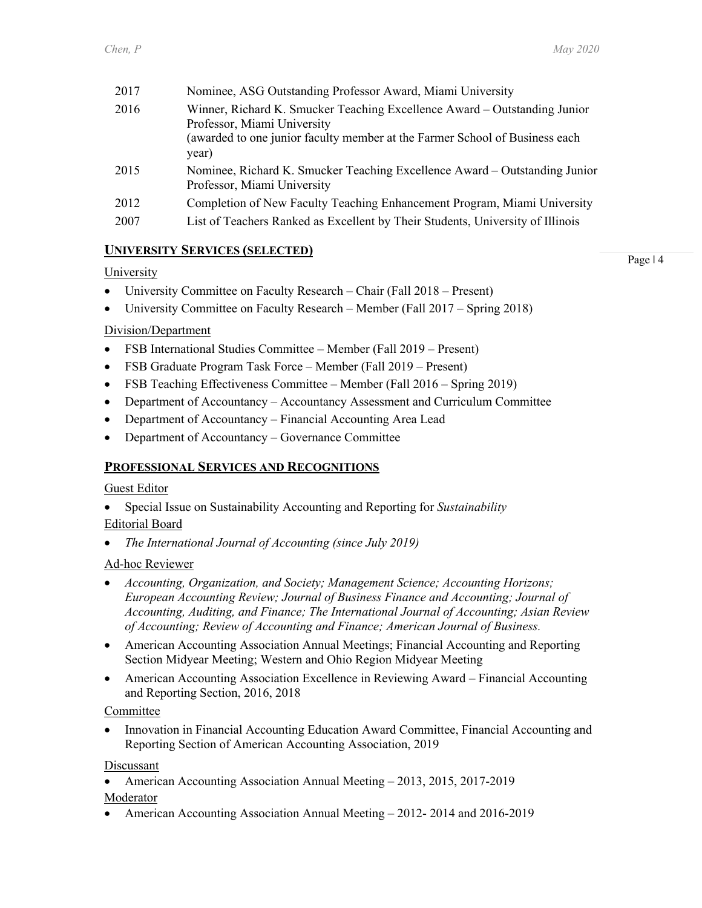| 2017 | Nominee, ASG Outstanding Professor Award, Miami University                                                                                                                              |
|------|-----------------------------------------------------------------------------------------------------------------------------------------------------------------------------------------|
| 2016 | Winner, Richard K. Smucker Teaching Excellence Award – Outstanding Junior<br>Professor, Miami University<br>(awarded to one junior faculty member at the Farmer School of Business each |
|      | year)                                                                                                                                                                                   |
| 2015 | Nominee, Richard K. Smucker Teaching Excellence Award – Outstanding Junior<br>Professor, Miami University                                                                               |
| 2012 | Completion of New Faculty Teaching Enhancement Program, Miami University                                                                                                                |
| 2007 | List of Teachers Ranked as Excellent by Their Students, University of Illinois                                                                                                          |
|      |                                                                                                                                                                                         |

# **UNIVERSITY SERVICES (SELECTED)**

#### University

- University Committee on Faculty Research Chair (Fall 2018 Present)
- University Committee on Faculty Research Member (Fall 2017 Spring 2018)

## Division/Department

- FSB International Studies Committee Member (Fall 2019 Present)
- FSB Graduate Program Task Force Member (Fall 2019 Present)
- FSB Teaching Effectiveness Committee Member (Fall 2016 Spring 2019)
- Department of Accountancy Accountancy Assessment and Curriculum Committee
- Department of Accountancy Financial Accounting Area Lead
- Department of Accountancy Governance Committee

# **PROFESSIONAL SERVICES AND RECOGNITIONS**

#### Guest Editor

• Special Issue on Sustainability Accounting and Reporting for *Sustainability* Editorial Board

• *The International Journal of Accounting (since July 2019)*

#### Ad-hoc Reviewer

- *Accounting, Organization, and Society; Management Science; Accounting Horizons; European Accounting Review; Journal of Business Finance and Accounting; Journal of Accounting, Auditing, and Finance; The International Journal of Accounting; Asian Review of Accounting; Review of Accounting and Finance; American Journal of Business.*
- American Accounting Association Annual Meetings; Financial Accounting and Reporting Section Midyear Meeting; Western and Ohio Region Midyear Meeting
- American Accounting Association Excellence in Reviewing Award Financial Accounting and Reporting Section, 2016, 2018

#### Committee

• Innovation in Financial Accounting Education Award Committee, Financial Accounting and Reporting Section of American Accounting Association, 2019

#### Discussant

• American Accounting Association Annual Meeting – 2013, 2015, 2017-2019

#### Moderator

• American Accounting Association Annual Meeting – 2012-2014 and 2016-2019

Page | 4